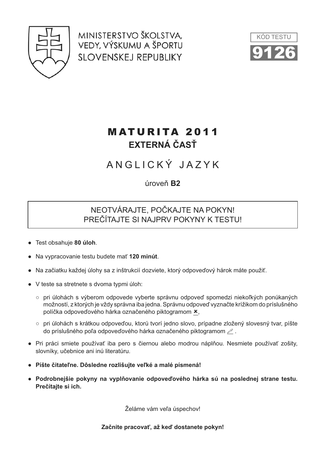

MINISTERSTVO ŠKOLSTVA. VEDY, VÝSKUMU A ŠPORTU **SLOVENSKEJ REPUBLIKY** 



## **MATURITA 2011** EXTERNÁ ČASŤ

# ANGLICKÝ JAZYK

úroveň **B2** 

### NEOTVÁRAJTE. POČKAJTE NA POKYN! PREČÍTAJTE SI NAJPRV POKYNY K TESTU!

- Test obsahuje 80 úloh.
- Na vypracovanie testu budete mať 120 minút.
- Na začiatku každej úlohy sa z inštrukcií dozviete, ktorý odpoveďový hárok máte použiť.
- V teste sa stretnete s dvoma typmi úloh:
	- o pri úlohách s výberom odpovede vyberte správnu odpoveď spomedzi niekoľkých ponúkaných možností, z ktorých je vždy správna iba jedna. Správnu odpoveď vyznačte krížikom do príslušného políčka odpoveďového hárka označeného piktogramom x,
	- o pri úlohách s krátkou odpoveďou, ktorú tvorí jedno slovo, prípadne zložený slovesný tvar, píšte do príslušného poľa odpoveďového hárka označeného piktogramom  $\mathcal Z$ .
- · Pri práci smiete používať iba pero s čiernou alebo modrou náplňou. Nesmiete používať zošity, slovníky, učebnice ani inú literatúru.
- · Píšte čitateľne. Dôsledne rozlišujte veľké a malé písmená!
- · Podrobnejšie pokyny na vyplňovanie odpoveďového hárka sú na poslednej strane testu. Prečítajte si ich.

Želáme vám veľa úspechov!

#### Začnite pracovať, až keď dostanete pokvn!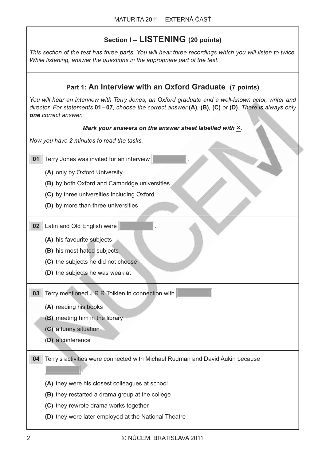## Section I - LISTENING (20 points)

*This section of the test has three parts. You will hear three recordings which you will listen to twice. While listening, answer the questions in the appropriate part of the test.*

| Part 1: An Interview with an Oxford Graduate (7 points)                                                                                                                                                                                         |  |  |  |  |
|-------------------------------------------------------------------------------------------------------------------------------------------------------------------------------------------------------------------------------------------------|--|--|--|--|
| You will hear an interview with Terry Jones, an Oxford graduate and a well-known actor, writer and<br>director. For statements $01-07$ , choose the correct answer $(A)$ , $(B)$ , $(C)$ or $(D)$ . There is always only<br>one correct answer. |  |  |  |  |
| Mark your answers on the answer sheet labelled with x.                                                                                                                                                                                          |  |  |  |  |
| Now you have 2 minutes to read the tasks.                                                                                                                                                                                                       |  |  |  |  |
| 01<br>Terry Jones was invited for an interview                                                                                                                                                                                                  |  |  |  |  |
| (A) only by Oxford University                                                                                                                                                                                                                   |  |  |  |  |
| (B) by both Oxford and Cambridge universities                                                                                                                                                                                                   |  |  |  |  |
| (C) by three universities including Oxford                                                                                                                                                                                                      |  |  |  |  |
| (D) by more than three universities                                                                                                                                                                                                             |  |  |  |  |
| Latin and Old English were<br>02                                                                                                                                                                                                                |  |  |  |  |
| (A) his favourite subjects                                                                                                                                                                                                                      |  |  |  |  |
| (B) his most hated subjects                                                                                                                                                                                                                     |  |  |  |  |
| (C) the subjects he did not choose                                                                                                                                                                                                              |  |  |  |  |
| (D) the subjects he was weak at                                                                                                                                                                                                                 |  |  |  |  |
| Terry mentioned J.R.R. Tolkien in connection with<br>03                                                                                                                                                                                         |  |  |  |  |
| (A) reading his books                                                                                                                                                                                                                           |  |  |  |  |
| (B) meeting him in the library                                                                                                                                                                                                                  |  |  |  |  |
| (C) a funny situation                                                                                                                                                                                                                           |  |  |  |  |
| (D) a conference                                                                                                                                                                                                                                |  |  |  |  |
| Terry's activities were connected with Michael Rudman and David Aukin because<br>04                                                                                                                                                             |  |  |  |  |
|                                                                                                                                                                                                                                                 |  |  |  |  |
| (A) they were his closest colleagues at school                                                                                                                                                                                                  |  |  |  |  |
| (B) they restarted a drama group at the college                                                                                                                                                                                                 |  |  |  |  |
| (C) they rewrote drama works together                                                                                                                                                                                                           |  |  |  |  |
| (D) they were later employed at the National Theatre                                                                                                                                                                                            |  |  |  |  |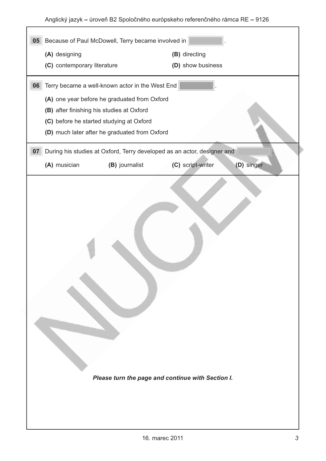| 05                                                                                          | Because of Paul McDowell, Terry became involved in                                                                                               |                   |            |
|---------------------------------------------------------------------------------------------|--------------------------------------------------------------------------------------------------------------------------------------------------|-------------------|------------|
| (A) designing                                                                               |                                                                                                                                                  | (B) directing     |            |
| (C) contemporary literature                                                                 |                                                                                                                                                  | (D) show business |            |
| 06<br>(B) after finishing his studies at Oxford<br>(C) before he started studying at Oxford | Terry became a well-known actor in the West End<br>(A) one year before he graduated from Oxford<br>(D) much later after he graduated from Oxford |                   |            |
| 07                                                                                          | During his studies at Oxford, Terry developed as an actor, designer and                                                                          |                   |            |
| (A) musician                                                                                | (B) journalist                                                                                                                                   | (C) script-writer | (D) singer |
|                                                                                             | Please turn the page and continue with Section I.                                                                                                |                   |            |

 $\overline{\phantom{a}}$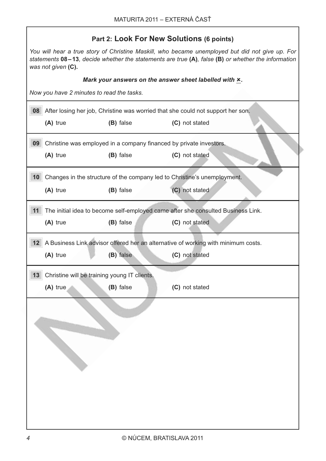| Part 2: Look For New Solutions (6 points)                                                                                                                                                                                   |                |  |  |
|-----------------------------------------------------------------------------------------------------------------------------------------------------------------------------------------------------------------------------|----------------|--|--|
| You will hear a true story of Christine Maskill, who became unemployed but did not give up. For<br>statements 08-13, decide whether the statements are true (A), false (B) or whether the information<br>was not given (C). |                |  |  |
| Mark your answers on the answer sheet labelled with x.                                                                                                                                                                      |                |  |  |
| Now you have 2 minutes to read the tasks.                                                                                                                                                                                   |                |  |  |
| 08 After losing her job, Christine was worried that she could not support her son.                                                                                                                                          |                |  |  |
| (A) true<br>(B) false                                                                                                                                                                                                       | (C) not stated |  |  |
| 09<br>Christine was employed in a company financed by private investors.                                                                                                                                                    |                |  |  |
| (A) true<br>(B) false                                                                                                                                                                                                       | (C) not stated |  |  |
|                                                                                                                                                                                                                             |                |  |  |
| 10<br>Changes in the structure of the company led to Christine's unemployment.                                                                                                                                              |                |  |  |
| $(A)$ true<br>(B) false                                                                                                                                                                                                     | (C) not stated |  |  |
|                                                                                                                                                                                                                             |                |  |  |
| 11<br>The initial idea to become self-employed came after she consulted Business Link.                                                                                                                                      |                |  |  |
| (B) false<br>$(A)$ true                                                                                                                                                                                                     | (C) not stated |  |  |
| 12 A Business Link advisor offered her an alternative of working with minimum costs.                                                                                                                                        |                |  |  |
| (A) true<br>(B) false                                                                                                                                                                                                       | (C) not stated |  |  |
|                                                                                                                                                                                                                             |                |  |  |
| Christine will be training young IT clients.<br>13                                                                                                                                                                          |                |  |  |
| (A) true<br>(B) false                                                                                                                                                                                                       | (C) not stated |  |  |
|                                                                                                                                                                                                                             |                |  |  |
|                                                                                                                                                                                                                             |                |  |  |
|                                                                                                                                                                                                                             |                |  |  |
|                                                                                                                                                                                                                             |                |  |  |
|                                                                                                                                                                                                                             |                |  |  |
|                                                                                                                                                                                                                             |                |  |  |
|                                                                                                                                                                                                                             |                |  |  |
|                                                                                                                                                                                                                             |                |  |  |
|                                                                                                                                                                                                                             |                |  |  |
|                                                                                                                                                                                                                             |                |  |  |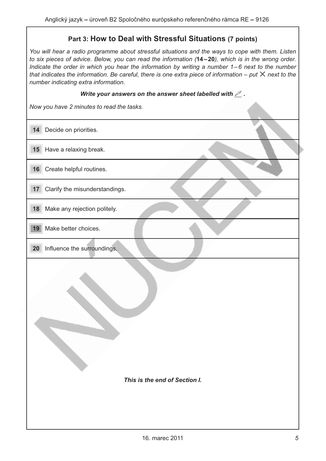### Part 3: How to Deal with Stressful Situations (7 points)

*You will hear a radio programme about stressful situations and the ways to cope with them. Listen to six pieces of advice. Below, you can read the information (14-20), which is in the wrong order. Indicate the order in which you hear the information by writing a number 1 – 6 next to the number tndicate the order in which you hear the information by writing a number 1−6 next to the number<br>that indicates the information. Be careful, there is one extra piece of information – put ╳ next to the number indicating extra information.*

### Write your answers on the answer sheet labelled with  $\mathcal{L}$  .

*Now you have 2 minutes to read the tasks.* 

| 14<br>Decide on priorities.                    |
|------------------------------------------------|
| 15 Have a relaxing break.                      |
| Create helpful routines.<br>16                 |
| Clarify the misunderstandings.<br>17           |
| Make any rejection politely.<br>18             |
| 19<br>Make better choices.                     |
| Influence the surroundings.<br>20 <sub>2</sub> |
| This is the end of Section I.                  |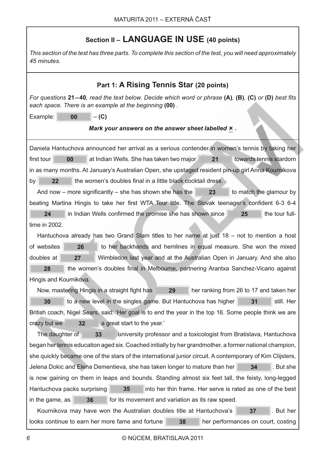## **Section II - LANGUAGE IN USE (40 points)**

*This section of the test has three parts. To complete this section of the test, you will need approximately 45 minutes.* 

| Part 1: A Rising Tennis Star (20 points)                                                                                                                                 |  |  |  |
|--------------------------------------------------------------------------------------------------------------------------------------------------------------------------|--|--|--|
| For questions 21–40, read the text below. Decide which word or phrase $(A)$ , $(B)$ , $(C)$ or $(D)$ best fits<br>each space. There is an example at the beginning (00). |  |  |  |
| Example:<br>00<br>$-(C)$                                                                                                                                                 |  |  |  |
| Mark your answers on the answer sheet labelled $x$ .                                                                                                                     |  |  |  |
| Daniela Hantuchova announced her arrival as a serious contender in women's tennis by taking her                                                                          |  |  |  |
| at Indian Wells. She has taken two major<br>first tour<br>00<br>21<br>towards tennis stardom                                                                             |  |  |  |
| in as many months. At January's Australian Open, she upstaged resident pin-up girl Anna Kournikova                                                                       |  |  |  |
| the women's doubles final in a little black cocktail dress.<br>by<br>22                                                                                                  |  |  |  |
| 23<br>And now – more significantly – she has shown she has the<br>to match the glamour by                                                                                |  |  |  |
| beating Martina Hingis to take her first WTA Tour title. The Slovak teenager's confident 6-3 6-4                                                                         |  |  |  |
| in Indian Wells confirmed the promise she has shown since<br>24<br>the tour full-<br>25                                                                                  |  |  |  |
| time in 2002.                                                                                                                                                            |  |  |  |
| Hantuchova already has two Grand Slam titles to her name at just $18 - \text{not}$ to mention a host                                                                     |  |  |  |
| of websites<br>26<br>to her backhands and hemlines in equal measure. She won the mixed                                                                                   |  |  |  |
| doubles at<br>27<br>Wimbledon last year and at the Australian Open in January. And she also                                                                              |  |  |  |
| 28<br>the women's doubles final in Melbourne, partnering Arantxa Sanchez-Vicario against                                                                                 |  |  |  |
| Hingis and Kournikova.                                                                                                                                                   |  |  |  |
| her ranking from 26 to 17 and taken her<br>Now, mastering Hingis in a straight fight has<br>29                                                                           |  |  |  |
| 30<br>to a new level in the singles game. But Hantuchova has higher<br>still. Her<br>31                                                                                  |  |  |  |
| British coach, Nigel Sears, said: 'Her goal is to end the year in the top 16. Some people think we are                                                                   |  |  |  |
| crazy but we<br>32<br>a great start to the year.'                                                                                                                        |  |  |  |
| The daughter of<br>33<br>university professor and a toxicologist from Bratislava, Hantuchova                                                                             |  |  |  |
| began her tennis education aged six. Coached initially by her grandmother, a former national champion,                                                                   |  |  |  |
| she quickly became one of the stars of the international junior circuit. A contemporary of Kim Clijsters,                                                                |  |  |  |
| Jelena Dokic and Elena Dementieva, she has taken longer to mature than her<br>. But she<br>34                                                                            |  |  |  |
| is now gaining on them in leaps and bounds. Standing almost six feet tall, the feisty, long-legged                                                                       |  |  |  |
| Hantuchova packs surprising<br>35<br>into her thin frame. Her serve is rated as one of the best                                                                          |  |  |  |
| in the game, as<br>36<br>for its movement and variation as its raw speed.                                                                                                |  |  |  |
| Kournikova may have won the Australian doubles title at Hantuchova's<br>37<br>. But her                                                                                  |  |  |  |
| looks continue to earn her more fame and fortune<br>38<br>her performances on court, costing                                                                             |  |  |  |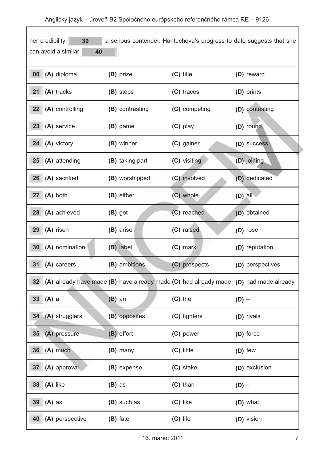| her credibility<br>39<br>a serious contender. Hantuchova's progress to date suggests that she<br>can avoid a similar<br>40 |                                                                                       |               |                  |
|----------------------------------------------------------------------------------------------------------------------------|---------------------------------------------------------------------------------------|---------------|------------------|
| (A) diploma<br>00 <sub>1</sub>                                                                                             | (B) prize                                                                             | $(C)$ title   | (D) reward       |
| 21<br>(A) tracks                                                                                                           | (B) steps                                                                             | (C) traces    | (D) prints       |
| (A) controlling<br>22                                                                                                      | (B) contrasting                                                                       | (C) competing | (D) contesting   |
| 23<br>(A) service                                                                                                          | (B) game                                                                              | (C) play      | (D) round        |
| (A) victory<br>24                                                                                                          | (B) winner                                                                            | (C) gainer    | (D) success      |
| 25<br>(A) attending                                                                                                        | (B) taking part                                                                       | (C) visiting  | (D) joining      |
| (A) sacrified<br>26                                                                                                        | (B) worshipped                                                                        | (C) involved  | (D) dedicated    |
| (A) both<br>27                                                                                                             | (B) either                                                                            | (C) whole     | $(D)$ all        |
| (A) achieved<br>28                                                                                                         | (B) got                                                                               | (C) reached   | (D) obtained     |
| 29<br>(A) risen                                                                                                            | (B) arisen                                                                            | (C) raised    | (D) rose         |
| (A) nomination<br>30                                                                                                       | (B) label                                                                             | (C) mark      | (D) reputation   |
| 31<br>(A) careers                                                                                                          | (B) ambitions                                                                         | (C) prospects | (D) perspectives |
| 32                                                                                                                         | (A) already have made (B) have already made (C) had already made (D) had made already |               |                  |
| $(A)$ a<br>33                                                                                                              | $(B)$ an                                                                              | $(C)$ the     | $(D)$ –          |
| 34 (A) strugglers                                                                                                          | (B) opposites                                                                         | (C) fighters  | (D) rivals       |
| (A) pressure<br>35                                                                                                         | (B) effort                                                                            | (C) power     | (D) force        |
| (A) much<br>36 <sup>°</sup>                                                                                                | (B) many                                                                              | (C) little    | (D) few          |
| (A) approval<br>37 <sup>2</sup>                                                                                            | (B) expense                                                                           | (C) stake     | (D) exclusion    |
| (A) like<br>38                                                                                                             | $(B)$ as                                                                              | $(C)$ than    | $(D)$ –          |
| 39<br>$(A)$ as                                                                                                             | (B) such as                                                                           | (C) like      | (D) what         |
| 40<br>(A) perspective                                                                                                      | (B) fate                                                                              | $(C)$ life    | (D) vision       |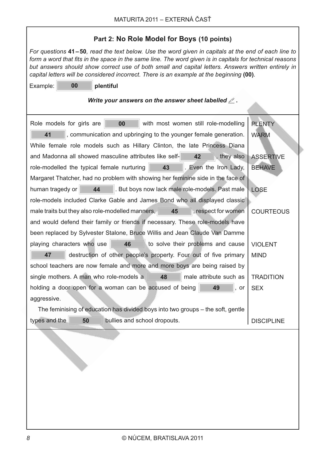٦

| Part 2: No Role Model for Boys (10 points)                                                                                                                                                                                                                                                                                                                                                                        |                   |  |  |  |
|-------------------------------------------------------------------------------------------------------------------------------------------------------------------------------------------------------------------------------------------------------------------------------------------------------------------------------------------------------------------------------------------------------------------|-------------------|--|--|--|
| For questions 41–50, read the text below. Use the word given in capitals at the end of each line to<br>form a word that fits in the space in the same line. The word given is in capitals for technical reasons<br>but answers should show correct use of both small and capital letters. Answers written entirely in<br>capital letters will be considered incorrect. There is an example at the beginning (00). |                   |  |  |  |
| 00<br>Example:<br>plentiful                                                                                                                                                                                                                                                                                                                                                                                       |                   |  |  |  |
| Write your answers on the answer sheet labelled $\mathcal{L}$ .                                                                                                                                                                                                                                                                                                                                                   |                   |  |  |  |
| Role models for girls are<br>with most women still role-modelling<br>00                                                                                                                                                                                                                                                                                                                                           | <b>PLENTY</b>     |  |  |  |
| 41<br>, communication and upbringing to the younger female generation.                                                                                                                                                                                                                                                                                                                                            | <b>WARM</b>       |  |  |  |
| While female role models such as Hillary Clinton, the late Princess Diana                                                                                                                                                                                                                                                                                                                                         |                   |  |  |  |
| and Madonna all showed masculine attributes like self-<br>42<br>, they also                                                                                                                                                                                                                                                                                                                                       | <b>ASSERTIVE</b>  |  |  |  |
| role-modelled the typical female nurturing<br>43<br>. Even the Iron Lady,                                                                                                                                                                                                                                                                                                                                         | <b>BEHAVE</b>     |  |  |  |
| Margaret Thatcher, had no problem with showing her feminine side in the face of                                                                                                                                                                                                                                                                                                                                   |                   |  |  |  |
| 44<br>. But boys now lack male role-models. Past male<br>human tragedy or                                                                                                                                                                                                                                                                                                                                         | <b>LOSE</b>       |  |  |  |
| role-models included Clarke Gable and James Bond who all displayed classic                                                                                                                                                                                                                                                                                                                                        |                   |  |  |  |
| male traits but they also role-modelled manners,<br>45<br>, respect for women                                                                                                                                                                                                                                                                                                                                     | <b>COURTEOUS</b>  |  |  |  |
| and would defend their family or friends if necessary. These role-models have                                                                                                                                                                                                                                                                                                                                     |                   |  |  |  |
| been replaced by Sylvester Stalone, Bruce Willis and Jean Claude Van Damme                                                                                                                                                                                                                                                                                                                                        |                   |  |  |  |
| playing characters who use<br>46<br>to solve their problems and cause                                                                                                                                                                                                                                                                                                                                             | <b>VIOLENT</b>    |  |  |  |
| destruction of other people's property. Four out of five primary<br>47                                                                                                                                                                                                                                                                                                                                            | <b>MIND</b>       |  |  |  |
| school teachers are now female and more and more boys are being raised by                                                                                                                                                                                                                                                                                                                                         |                   |  |  |  |
| single mothers. A man who role-models a<br>48<br>male attribute such as                                                                                                                                                                                                                                                                                                                                           | <b>TRADITION</b>  |  |  |  |
| holding a door open for a woman can be accused of being<br>49<br>or                                                                                                                                                                                                                                                                                                                                               | <b>SEX</b>        |  |  |  |
| aggressive.                                                                                                                                                                                                                                                                                                                                                                                                       |                   |  |  |  |
| The feminising of education has divided boys into two groups – the soft, gentle                                                                                                                                                                                                                                                                                                                                   |                   |  |  |  |
| types and the<br>50<br>bullies and school dropouts.                                                                                                                                                                                                                                                                                                                                                               | <b>DISCIPLINE</b> |  |  |  |
|                                                                                                                                                                                                                                                                                                                                                                                                                   |                   |  |  |  |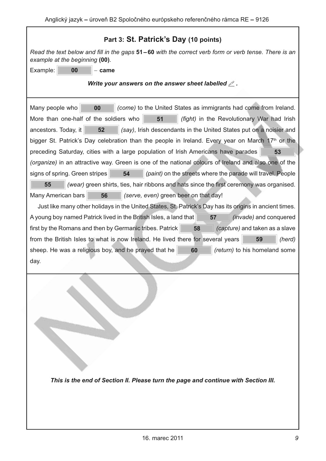| Part 3: St. Patrick's Day (10 points)                                                                                                                                                                                                                                                                                                                                                                                                                                                                                                                                                                                                                                                                                                                                                                                                                                                                                                                                                                                                                                                                                                                                                                                                                                                                                                                                                                                              |
|------------------------------------------------------------------------------------------------------------------------------------------------------------------------------------------------------------------------------------------------------------------------------------------------------------------------------------------------------------------------------------------------------------------------------------------------------------------------------------------------------------------------------------------------------------------------------------------------------------------------------------------------------------------------------------------------------------------------------------------------------------------------------------------------------------------------------------------------------------------------------------------------------------------------------------------------------------------------------------------------------------------------------------------------------------------------------------------------------------------------------------------------------------------------------------------------------------------------------------------------------------------------------------------------------------------------------------------------------------------------------------------------------------------------------------|
| Read the text below and fill in the gaps 51–60 with the correct verb form or verb tense. There is an<br>example at the beginning (00).                                                                                                                                                                                                                                                                                                                                                                                                                                                                                                                                                                                                                                                                                                                                                                                                                                                                                                                                                                                                                                                                                                                                                                                                                                                                                             |
| Example:<br>00<br>– came                                                                                                                                                                                                                                                                                                                                                                                                                                                                                                                                                                                                                                                                                                                                                                                                                                                                                                                                                                                                                                                                                                                                                                                                                                                                                                                                                                                                           |
| Write your answers on the answer sheet labelled $\mathcal{L}$ .                                                                                                                                                                                                                                                                                                                                                                                                                                                                                                                                                                                                                                                                                                                                                                                                                                                                                                                                                                                                                                                                                                                                                                                                                                                                                                                                                                    |
| Many people who<br>00<br>(come) to the United States as immigrants had come from Ireland.<br>More than one-half of the soldiers who<br>51<br>(fight) in the Revolutionary War had Irish<br>52<br>(say), Irish descendants in the United States put on a noisier and<br>ancestors. Today, it<br>bigger St. Patrick's Day celebration than the people in Ireland. Every year on March 17 <sup>th</sup> or the<br>preceding Saturday, cities with a large population of Irish Americans have parades<br>53<br>(organize) in an attractive way. Green is one of the national colours of Ireland and also one of the<br>(paint) on the streets where the parade will travel. People<br>signs of spring. Green stripes<br>54<br>55<br>(wear) green shirts, ties, hair ribbons and hats since the first ceremony was organised.<br>(serve, even) green beer on that day!<br>Many American bars<br>56<br>Just like many other holidays in the United States, St. Patrick's Day has its origins in ancient times.<br>A young boy named Patrick lived in the British Isles, a land that<br>57<br><i>(invade)</i> and conquered<br>first by the Romans and then by Germanic tribes. Patrick<br>58<br>(capture) and taken as a slave<br>from the British Isles to what is now Ireland. He lived there for several years<br>(herd)<br>59<br>sheep. He was a religious boy, and he prayed that he<br>60<br>(return) to his homeland some<br>day. |
| This is the end of Section II. Please turn the page and continue with Section III.                                                                                                                                                                                                                                                                                                                                                                                                                                                                                                                                                                                                                                                                                                                                                                                                                                                                                                                                                                                                                                                                                                                                                                                                                                                                                                                                                 |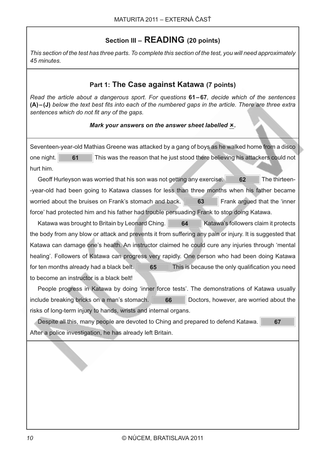## Section III - READING (20 points)

*This section of the test has three parts. To complete this section of the test, you will need approximately 45 minutes.*

### Part 1: The Case against Katawa (7 points)

*Read the article about a dangerous sport. For questions* **61-67**, decide which of the sentences (A)-(J) below the text best fits into each of the numbered gaps in the article. There are three extra sentences which do not fit any of the gaps.

### Mark your answers on the answer sheet labelled **x**.

Seventeen-year-old Mathias Greene was attacked by a gang of boys as he walked home from a disco one night. **61** This was the reason that he just stood there believing his attackers could not hurt him.

Geoff Hurleyson was worried that his son was not getting any exercise. **62** The thirteen--year-old had been going to Katawa classes for less than three months when his father became worried about the bruises on Frank's stomach and back. **63 Frank argued that the 'inner** force' had protected him and his father had trouble persuading Frank to stop doing Katawa.

Katawa was brought to Britain by Leonard Ching. **64 Charlot** Katawa's followers claim it protects the body from any blow or attack and prevents it from suffering any pain or injury. It is suggested that Katawa can damage one's health. An instructor claimed he could cure any injuries through 'mental healing'. Followers of Katawa can progress very rapidly. One person who had been doing Katawa for ten months already had a black belt.  $\blacksquare$  65  $\blacksquare$  This is because the only qualification you need to become an instructor is a black belt!

People progress in Katawa by doing 'inner force tests'. The demonstrations of Katawa usually include breaking bricks on a man's stomach. **66** Doctors, however, are worried about the risks of long-term injury to hands, wrists and internal organs.

Despite all this, many people are devoted to Ching and prepared to defend Katawa.  $\blacksquare$  67 After a police investigation, he has already left Britain.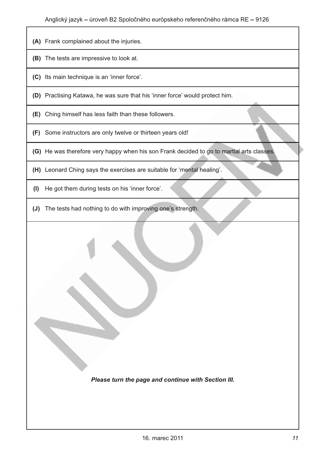- (A) Frank complained about the injuries.
- (B) The tests are impressive to look at.
- (C) Its main technique is an 'inner force'.
- (D) Practising Katawa, he was sure that his 'inner force' would protect him.
- (E) Ching himself has less faith than these followers.
- (F) Some instructors are only twelve or thirteen years old!
- (G) He was therefore very happy when his son Frank decided to go to martial arts classes.
- (H) Leonard Ching says the exercises are suitable for 'mental healing'.
- (I) He got them during tests on his 'inner force'.
- (J) The tests had nothing to do with improving one's strength.

Please turn the page and continue with Section III.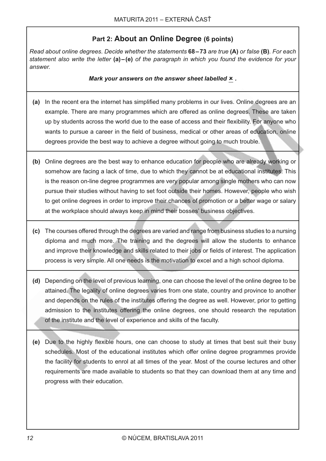#### Part 2: About an Online Degree (6 points)

Read about online degrees. Decide whether the statements 68-73 are true (A) or false (B). For each statement also write the letter  $(a) - (e)$  of the paragraph in which you found the evidence for your answer.

Mark your answers on the answer sheet labelled  $x$ .

- (a) In the recent era the internet has simplified many problems in our lives. Online degrees are an example. There are many programmes which are offered as online degrees. These are taken up by students across the world due to the ease of access and their flexibility. For anyone who wants to pursue a career in the field of business, medical or other areas of education, online degrees provide the best way to achieve a degree without going to much trouble.
- (b) Online degrees are the best way to enhance education for people who are already working or somehow are facing a lack of time, due to which they cannot be at educational institutes. This is the reason on-line degree programmes are very popular among single mothers who can now pursue their studies without having to set foot outside their homes. However, people who wish to get online degrees in order to improve their chances of promotion or a better wage or salary at the workplace should always keep in mind their bosses' business objectives.
- (c) The courses offered through the degrees are varied and range from business studies to a nursing diploma and much more. The training and the degrees will allow the students to enhance and improve their knowledge and skills related to their jobs or fields of interest. The application process is very simple. All one needs is the motivation to excel and a high school diploma.
- (d) Depending on the level of previous learning, one can choose the level of the online degree to be attained. The legality of online degrees varies from one state, country and province to another and depends on the rules of the institutes offering the degree as well. However, prior to getting admission to the institutes offering the online degrees, one should research the reputation of the institute and the level of experience and skills of the faculty.
- (e) Due to the highly flexible hours, one can choose to study at times that best suit their busy schedules. Most of the educational institutes which offer online degree programmes provide the facility for students to enrol at all times of the year. Most of the course lectures and other requirements are made available to students so that they can download them at any time and progress with their education.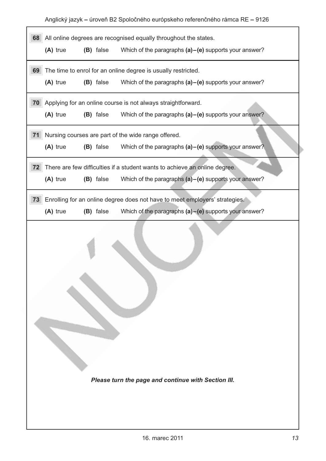Anglický jazyk – úroveň B2 Spoločného európskeho referenčného rámca RE – 9126

| All online degrees are recognised equally throughout the states.<br>68 |                                                               |           |                                                                             |  |
|------------------------------------------------------------------------|---------------------------------------------------------------|-----------|-----------------------------------------------------------------------------|--|
|                                                                        | (A) true                                                      | (B) false | Which of the paragraphs $(a)$ – $(e)$ supports your answer?                 |  |
| 69                                                                     | The time to enrol for an online degree is usually restricted. |           |                                                                             |  |
|                                                                        | (A) true                                                      | (B) false | Which of the paragraphs $(a)$ – $(e)$ supports your answer?                 |  |
| 70                                                                     |                                                               |           | Applying for an online course is not always straightforward.                |  |
|                                                                        | (A) true                                                      | (B) false | Which of the paragraphs $(a)$ – $(e)$ supports your answer?                 |  |
| 71                                                                     |                                                               |           | Nursing courses are part of the wide range offered.                         |  |
|                                                                        | (A) true                                                      | (B) false | Which of the paragraphs $(a)$ – $(e)$ supports your answer?                 |  |
| 72                                                                     |                                                               |           | There are few difficulties if a student wants to achieve an online degree.  |  |
|                                                                        | (A) true                                                      | (B) false | Which of the paragraphs $(a)$ – $(e)$ supports your answer?                 |  |
| 73                                                                     |                                                               |           | Enrolling for an online degree does not have to meet employers' strategies. |  |
|                                                                        | $(A)$ true                                                    | (B) false | Which of the paragraphs $(a)$ – $(e)$ supports your answer?                 |  |
|                                                                        |                                                               |           |                                                                             |  |
|                                                                        |                                                               |           | Please turn the page and continue with Section III.                         |  |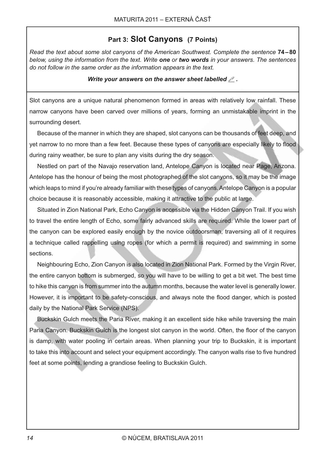#### Part 3: Slot Canyons (7 Points)

Read the text about some slot canvons of the American Southwest. Complete the sentence 74–80 below, using the information from the text. Write one or two words in your answers. The sentences do not follow in the same order as the information appears in the text.

#### Write your answers on the answer sheet labelled  $\mathcal{L}$ .

Slot canyons are a unique natural phenomenon formed in areas with relatively low rainfall. These narrow canyons have been carved over millions of years, forming an unmistakable imprint in the surrounding desert.

Because of the manner in which they are shaped, slot canyons can be thousands of feet deep, and yet narrow to no more than a few feet. Because these types of canyons are especially likely to flood during rainy weather, be sure to plan any visits during the dry season.

Nestled on part of the Navajo reservation land, Antelope Canyon is located near Page, Arizona. Antelope has the honour of being the most photographed of the slot canyons, so it may be the image which leaps to mind if you're already familiar with these types of canyons. Antelope Canyon is a popular choice because it is reasonably accessible, making it attractive to the public at large.

Situated in Zion National Park, Echo Canyon is accessible via the Hidden Canyon Trail. If you wish to travel the entire length of Echo, some fairly advanced skills are required. While the lower part of the canyon can be explored easily enough by the novice outdoorsman, traversing all of it requires a technique called rappelling using ropes (for which a permit is required) and swimming in some sections.

Neighbouring Echo, Zion Canyon is also located in Zion National Park. Formed by the Virgin River, the entire canyon bottom is submerged, so you will have to be willing to get a bit wet. The best time to hike this canyon is from summer into the autumn months, because the water level is generally lower. However, it is important to be safety-conscious, and always note the flood danger, which is posted daily by the National Park Service (NPS).

Buckskin Gulch meets the Paria River, making it an excellent side hike while traversing the main Paria Canyon. Buckskin Gulch is the longest slot canyon in the world. Often, the floor of the canyon is damp, with water pooling in certain areas. When planning your trip to Buckskin, it is important to take this into account and select your equipment accordingly. The canyon walls rise to five hundred feet at some points, lending a grandiose feeling to Buckskin Gulch.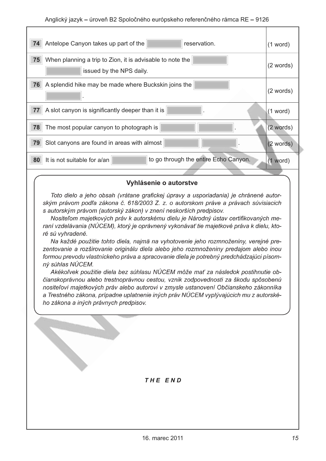| 74<br>Antelope Canyon takes up part of the<br>reservation.                                  | $(1$ word)  |
|---------------------------------------------------------------------------------------------|-------------|
| 75<br>When planning a trip to Zion, it is advisable to note the<br>issued by the NPS daily. | (2 words)   |
| 76<br>A splendid hike may be made where Buckskin joins the                                  | (2 words)   |
| 77<br>A slot canyon is significantly deeper than it is                                      | (1 word)    |
| 78<br>The most popular canyon to photograph is                                              | (2 words)   |
| 79<br>Slot canyons are found in areas with almost                                           | $(2$ words) |
| to go through the entire Echo Canyon.<br>80<br>It is not suitable for a/an                  | $(1$ word)  |
|                                                                                             |             |

#### Vyhlásenie o autorstve

Toto dielo a jeho obsah (vrátane grafickej úpravy a usporiadania) je chránené autorským právom podľa zákona č. 618/2003 Z. z. o autorskom práve a právach súvisiacich s autorským právom (autorský zákon) v znení neskorších predpisov.

Nositeľom majetkových práv k autorskému dielu je Národný ústav certifikovaných meraní vzdelávania (NÚCEM), ktorý je oprávnený vykonávať tie majetkové práva k dielu, ktoré sú vyhradené.

Na každé použitie tohto diela, najmä na vyhotovenie jeho rozmnoženiny, verejné prezentovanie a rozširovanie originálu diela alebo jeho rozmnoženiny predajom alebo inou formou prevodu vlastníckeho práva a spracovanie diela je potrebný predchádzajúci písomný súhlas NÚCEM.

Akékoľvek použitie diela bez súhlasu NÚCEM môže mať za následok postihnutie občianskoprávnou alebo trestnoprávnou cestou, vznik zodpovednosti za škodu spôsobenú nositeľovi majetkových práv alebo autorovi v zmysle ustanovení Občianskeho zákonníka a Trestného zákona, prípadne uplatnenie iných práv NÚCEM vyplývajúcich mu z autorského zákona a iných právnych predpisov.

#### THE END